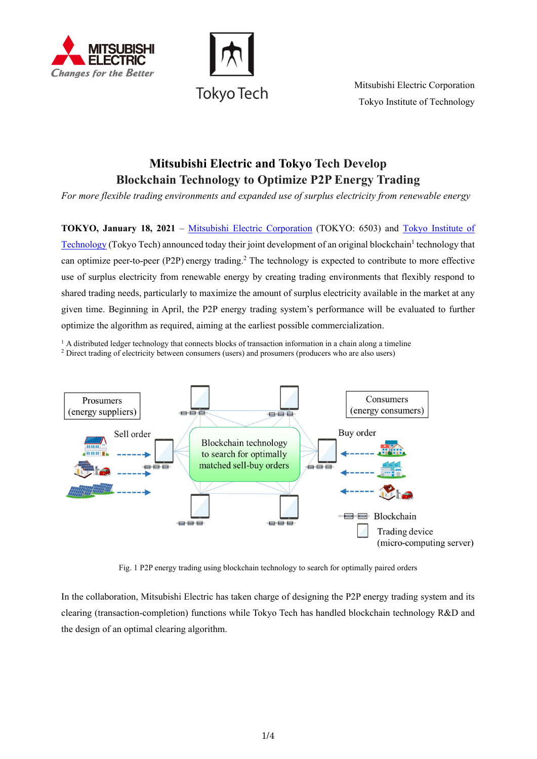



Mitsubishi Electric Corporation Tokyo Institute of Technology

# **Mitsubishi Electric and Tokyo Tech Develop Blockchain Technology to Optimize P2P Energy Trading**

*For more flexible trading environments and expanded use of surplus electricity from renewable energy*

**TOKYO, January 18, 2021** – [Mitsubishi Electric Corporation](https://www.mitsubishielectric.com/) (TOKYO: 6503) and [Tokyo Institute of](https://www.titech.ac.jp/english/)  [Technology](https://www.titech.ac.jp/english/) (Tokyo Tech) announced today their joint development of an original blockchain<sup>1</sup> technology that can optimize peer-to-peer (P2P) energy trading.<sup>2</sup> The technology is expected to contribute to more effective use of surplus electricity from renewable energy by creating trading environments that flexibly respond to shared trading needs, particularly to maximize the amount of surplus electricity available in the market at any given time. Beginning in April, the P2P energy trading system's performance will be evaluated to further optimize the algorithm as required, aiming at the earliest possible commercialization.

 $<sup>1</sup>$  A distributed ledger technology that connects blocks of transaction information in a chain along a timeline</sup> <sup>2</sup> Direct trading of electricity between consumers (users) and prosumers (producers who are also users)



Fig. 1 P2P energy trading using blockchain technology to search for optimally paired orders

In the collaboration, Mitsubishi Electric has taken charge of designing the P2P energy trading system and its clearing (transaction-completion) functions while Tokyo Tech has handled blockchain technology R&D and the design of an optimal clearing algorithm.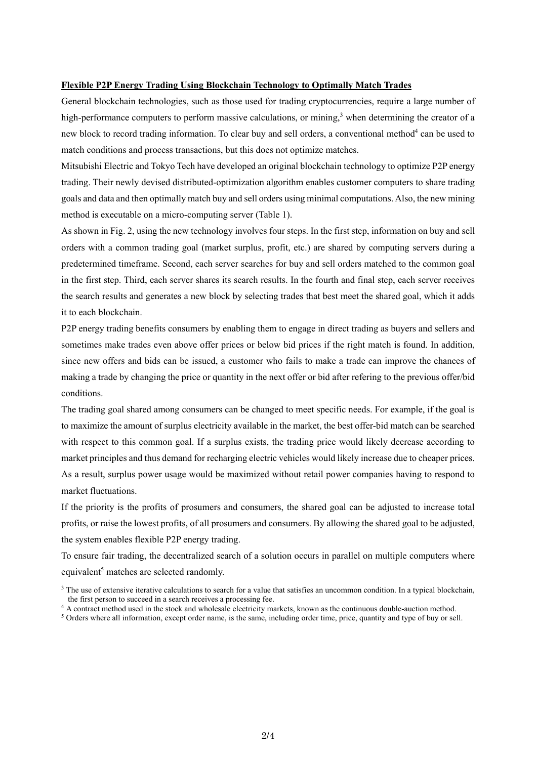## **Flexible P2P Energy Trading Using Blockchain Technology to Optimally Match Trades**

General blockchain technologies, such as those used for trading cryptocurrencies, require a large number of high-performance computers to perform massive calculations, or mining,<sup>3</sup> when determining the creator of a new block to record trading information. To clear buy and sell orders, a conventional method<sup>4</sup> can be used to match conditions and process transactions, but this does not optimize matches.

Mitsubishi Electric and Tokyo Tech have developed an original blockchain technology to optimize P2P energy trading. Their newly devised distributed-optimization algorithm enables customer computers to share trading goals and data and then optimally match buy and sell orders using minimal computations. Also, the new mining method is executable on a micro-computing server (Table 1).

As shown in Fig. 2, using the new technology involves four steps. In the first step, information on buy and sell orders with a common trading goal (market surplus, profit, etc.) are shared by computing servers during a predetermined timeframe. Second, each server searches for buy and sell orders matched to the common goal in the first step. Third, each server shares its search results. In the fourth and final step, each server receives the search results and generates a new block by selecting trades that best meet the shared goal, which it adds it to each blockchain.

P2P energy trading benefits consumers by enabling them to engage in direct trading as buyers and sellers and sometimes make trades even above offer prices or below bid prices if the right match is found. In addition, since new offers and bids can be issued, a customer who fails to make a trade can improve the chances of making a trade by changing the price or quantity in the next offer or bid after refering to the previous offer/bid conditions.

The trading goal shared among consumers can be changed to meet specific needs. For example, if the goal is to maximize the amount of surplus electricity available in the market, the best offer-bid match can be searched with respect to this common goal. If a surplus exists, the trading price would likely decrease according to market principles and thus demand for recharging electric vehicles would likely increase due to cheaper prices. As a result, surplus power usage would be maximized without retail power companies having to respond to market fluctuations.

If the priority is the profits of prosumers and consumers, the shared goal can be adjusted to increase total profits, or raise the lowest profits, of all prosumers and consumers. By allowing the shared goal to be adjusted, the system enables flexible P2P energy trading.

To ensure fair trading, the decentralized search of a solution occurs in parallel on multiple computers where equivalent<sup>5</sup> matches are selected randomly.

<sup>&</sup>lt;sup>3</sup> The use of extensive iterative calculations to search for a value that satisfies an uncommon condition. In a typical blockchain, the first person to succeed in a search receives a processing fee.

 $\frac{4}{3}$  A contract method used in the stock and wholesale electricity markets, known as the continuous double-auction method.<br>
<sup>5</sup> Orders where all information, except order name, is the same, including order time, pric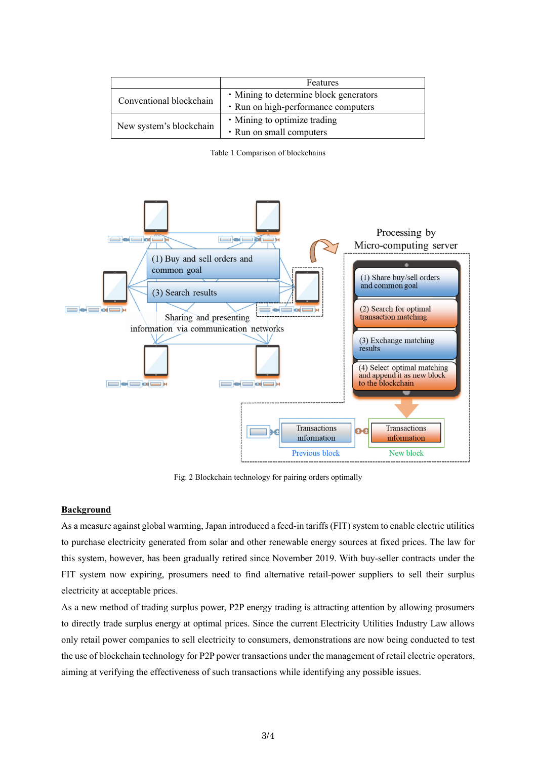|                         | Features                               |
|-------------------------|----------------------------------------|
| Conventional blockchain | • Mining to determine block generators |
|                         | • Run on high-performance computers    |
| New system's blockchain | • Mining to optimize trading           |
|                         | • Run on small computers               |

Table 1 Comparison of blockchains



Fig. 2 Blockchain technology for pairing orders optimally

### **Background**

As a measure against global warming, Japan introduced a feed-in tariffs (FIT) system to enable electric utilities to purchase electricity generated from solar and other renewable energy sources at fixed prices. The law for this system, however, has been gradually retired since November 2019. With buy-seller contracts under the FIT system now expiring, prosumers need to find alternative retail-power suppliers to sell their surplus electricity at acceptable prices.

As a new method of trading surplus power, P2P energy trading is attracting attention by allowing prosumers to directly trade surplus energy at optimal prices. Since the current Electricity Utilities Industry Law allows only retail power companies to sell electricity to consumers, demonstrations are now being conducted to test the use of blockchain technology for P2P power transactions under the management of retail electric operators, aiming at verifying the effectiveness of such transactions while identifying any possible issues.